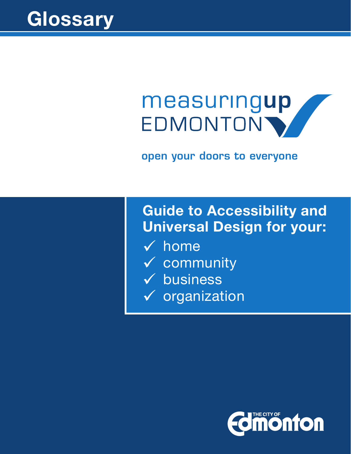

# measuringup EDMONTON'

open your doors to everyone

# **Guide to Accessibility and Universal Design for your:**

- $\checkmark$  home
- $\checkmark$  community
- $\checkmark$  business
- $\checkmark$  organization

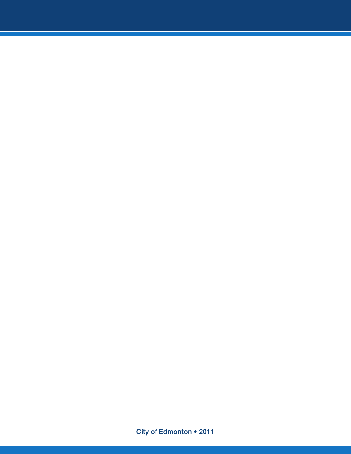City of Edmonton • 2011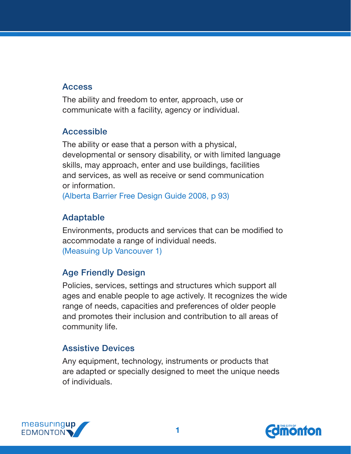#### Access

The ability and freedom to enter, approach, use or communicate with a facility, agency or individual.

#### Accessible

The ability or ease that a person with a physical, developmental or sensory disability, or with limited language skills, may approach, enter and use buildings, facilities and services, as well as receive or send communication or information.

(Alberta Barrier Free Design Guide 2008, p 93)

### Adaptable

Environments, products and services that can be modified to accommodate a range of individual needs. (Measuing Up Vancouver 1)

# Age Friendly Design

Policies, services, settings and structures which support all ages and enable people to age actively. It recognizes the wide range of needs, capacities and preferences of older people and promotes their inclusion and contribution to all areas of community life.

#### Assistive Devices

Any equipment, technology, instruments or products that are adapted or specially designed to meet the unique needs of individuals.



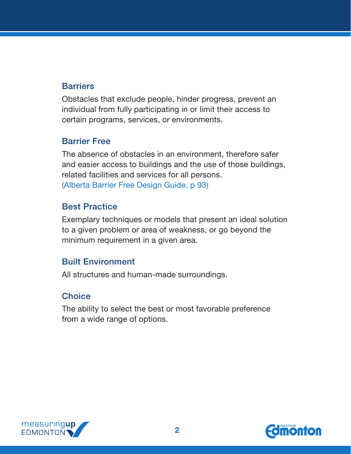#### **Barriers**

Obstacles that exclude people, hinder progress, prevent an individual from fully participating in or limit their access to certain programs, services, or environments.

#### Barrier Free

The absence of obstacles in an environment, therefore safer and easier access to buildings and the use of those buildings, related facilities and services for all persons. (Alberta Barrier Free Design Guide, p 93)

#### Best Practice

Exemplary techniques or models that present an ideal solution to a given problem or area of weakness, or go beyond the minimum requirement in a given area.

#### Built Environment

All structures and human-made surroundings.

#### **Choice**

The ability to select the best or most favorable preference from a wide range of options.



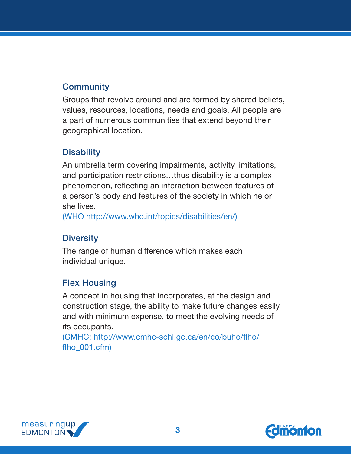# **Community**

Groups that revolve around and are formed by shared beliefs, values, resources, locations, needs and goals. All people are a part of numerous communities that extend beyond their geographical location.

#### **Disability**

An umbrella term covering impairments, activity limitations, and participation restrictions…thus disability is a complex phenomenon, reflecting an interaction between features of a person's body and features of the society in which he or she lives.

(WHO <http://www.who.int/topics/disabilities/en/>)

#### **Diversity**

The range of human difference which makes each individual unique.

#### Flex Housing

A concept in housing that incorporates, at the design and construction stage, the ability to make future changes easily and with minimum expense, to meet the evolving needs of its occupants.

(CMHC: http://www.cmhc-schl.gc.ca/en/co/buho/flho/ flho\_001.cfm)



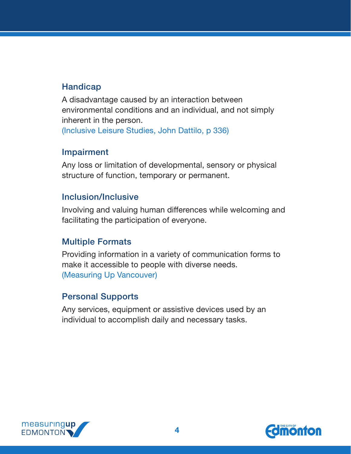#### **Handicap**

A disadvantage caused by an interaction between environmental conditions and an individual, and not simply inherent in the person. (Inclusive Leisure Studies, John Dattilo, p 336)

#### Impairment

Any loss or limitation of developmental, sensory or physical structure of function, temporary or permanent.

#### Inclusion/Inclusive

Involving and valuing human differences while welcoming and facilitating the participation of everyone.

#### Multiple Formats

Providing information in a variety of communication forms to make it accessible to people with diverse needs. (Measuring Up Vancouver)

#### Personal Supports

Any services, equipment or assistive devices used by an individual to accomplish daily and necessary tasks.